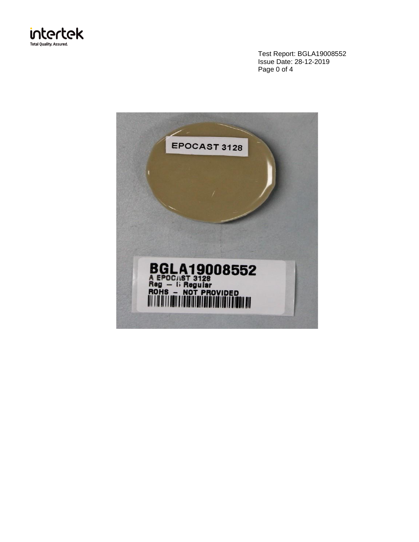

Test Report: BGLA19008552 Issue Date: 28-12-2019 Page 0 of 4

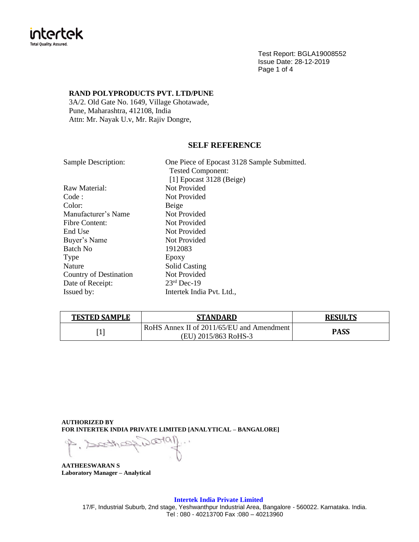

Test Report: BGLA19008552 Issue Date: 28-12-2019 Page 1 of 4

## **RAND POLYPRODUCTS PVT. LTD/PUNE**

3A/2. Old Gate No. 1649, Village Ghotawade, Pune, Maharashtra, 412108, India Attn: Mr. Nayak U.v, Mr. Rajiv Dongre,

# **SELF REFERENCE**

| <b>Sample Description:</b> | One Piece of Epocast 3128 Sample Submitted. |
|----------------------------|---------------------------------------------|
|                            | <b>Tested Component:</b>                    |
|                            | [1] Epocast $3128$ (Beige)                  |
| Raw Material:              | Not Provided                                |
| Code :                     | Not Provided                                |
| Color:                     | Beige                                       |
| Manufacturer's Name        | Not Provided                                |
| <b>Fibre Content:</b>      | Not Provided                                |
| End Use                    | Not Provided                                |
| Buyer's Name               | Not Provided                                |
| <b>Batch No</b>            | 1912083                                     |
| Type                       | Epoxy                                       |
| <b>Nature</b>              | <b>Solid Casting</b>                        |
| Country of Destination     | Not Provided                                |
| Date of Receipt:           | $23rd$ Dec-19                               |
| Issued by:                 | Intertek India Pvt. Ltd.,                   |

| <b>TESTED SAMPLE</b> | <b>STANDARD</b>                                                   | <b>RESULTS</b> |
|----------------------|-------------------------------------------------------------------|----------------|
|                      | RoHS Annex II of 2011/65/EU and Amendment<br>(EU) 2015/863 RoHS-3 | <b>PASS</b>    |

**AUTHORIZED BY FOR INTERTEK INDIA PRIVATE LIMITED [ANALYTICAL – BANGALORE]**

 $\infty$ (al)  $\sim$ 

**AATHEESWARAN S Laboratory Manager – Analytical**

### **Intertek India Private Limited**

17/F, Industrial Suburb, 2nd stage, Yeshwanthpur Industrial Area, Bangalore - 560022. Karnataka. India. Tel : 080 - 40213700 Fax :080 – 40213960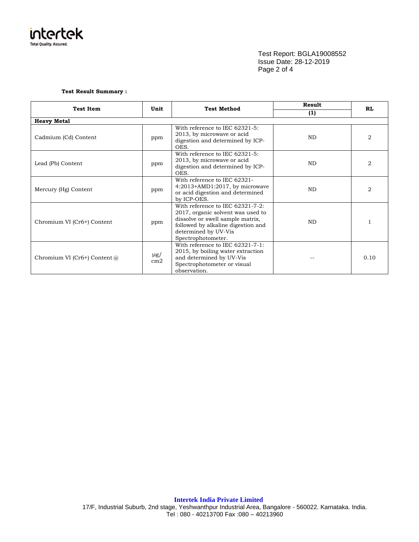

Test Report: BGLA19008552 Issue Date: 28-12-2019 Page 2 of 4

#### **Test Result Summary :**

| <b>Test Item</b>                                            | Unit | <b>Test Method</b>                                                                                                                                                                            | <b>Result</b> | <b>RL</b> |  |
|-------------------------------------------------------------|------|-----------------------------------------------------------------------------------------------------------------------------------------------------------------------------------------------|---------------|-----------|--|
|                                                             |      |                                                                                                                                                                                               | (1)           |           |  |
| <b>Heavy Metal</b>                                          |      |                                                                                                                                                                                               |               |           |  |
| Cadmium (Cd) Content                                        | ppm  | With reference to IEC 62321-5:<br>2013, by microwave or acid<br>digestion and determined by ICP-<br>OES.                                                                                      | <b>ND</b>     | 2         |  |
| Lead (Pb) Content                                           | ppm  | With reference to IEC 62321-5:<br>2013, by microwave or acid<br>digestion and determined by ICP-<br>OES.                                                                                      | <b>ND</b>     | 2         |  |
| Mercury (Hg) Content                                        | ppm  | With reference to IEC 62321-<br>$4:2013+AMD1:2017$ , by microwave<br>or acid digestion and determined<br>by ICP-OES.                                                                          | <b>ND</b>     | 2         |  |
| Chromium VI (Cr6+) Content                                  | ppm  | With reference to IEC 62321-7-2:<br>2017, organic solvent was used to<br>dissolve or swell sample matrix,<br>followed by alkaline digestion and<br>determined by UV-Vis<br>Spectrophotometer. | ND.           |           |  |
| $\mu$ g/<br>Chromium VI (Cr6+) Content @<br>cm <sub>2</sub> |      | With reference to IEC 62321-7-1:<br>2015, by boiling water extraction<br>and determined by UV-Vis<br>Spectrophotometer or visual<br>observation.                                              |               | 0.10      |  |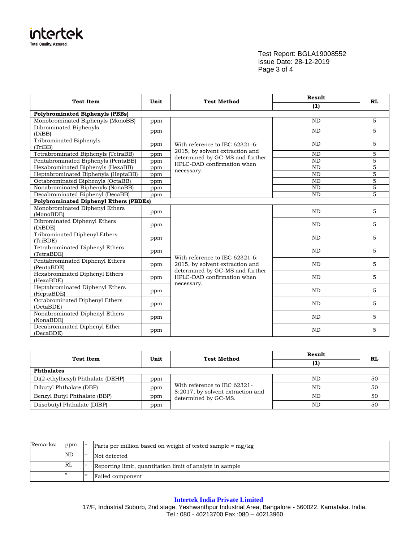

Test Report: BGLA19008552 Issue Date: 28-12-2019 Page 3 of 4

| <b>Test Item</b>                              | Unit | <b>Test Method</b>                                                | Result    | RL             |  |  |
|-----------------------------------------------|------|-------------------------------------------------------------------|-----------|----------------|--|--|
|                                               |      |                                                                   | (1)       |                |  |  |
| <b>Polybrominated Biphenyls (PBBs)</b>        |      |                                                                   |           |                |  |  |
| Monobrominated Biphenyls (MonoBB)             | ppm  |                                                                   | <b>ND</b> | 5              |  |  |
| Dibrominated Biphenyls<br>(DiBB)              | ppm  |                                                                   | <b>ND</b> | 5              |  |  |
| Tribrominated Biphenyls<br>(TriBB)            | ppm  | With reference to IEC 62321-6:                                    | <b>ND</b> | 5              |  |  |
| Tetrabrominated Biphenyls (TetraBB)           | ppm  | 2015, by solvent extraction and                                   | <b>ND</b> | 5              |  |  |
| Pentabrominated Biphenyls (PentaBB)           | ppm  | determined by GC-MS and further<br>HPLC-DAD confirmation when     | <b>ND</b> | $\overline{5}$ |  |  |
| Hexabrominated Biphenyls (HexaBB)             | ppm  |                                                                   | <b>ND</b> | 5              |  |  |
| Heptabrominated Biphenyls (HeptaBB)           | ppm  | necessary.                                                        | <b>ND</b> | 5              |  |  |
| Octabrominated Biphenyls (OctaBB)             | ppm  |                                                                   | ND        | $\overline{5}$ |  |  |
| Nonabrominated Biphenyls (NonaBB)             | ppm  |                                                                   | <b>ND</b> | 5              |  |  |
| Decabrominated Biphenyl (DecaBB)              | ppm  |                                                                   | <b>ND</b> | $\overline{5}$ |  |  |
| <b>Polybrominated Diphenyl Ethers (PBDEs)</b> |      |                                                                   |           |                |  |  |
| Monobrominated Diphenyl Ethers<br>(MonoBDE)   | ppm  |                                                                   | ND        | 5              |  |  |
| Dibrominated Diphenyl Ethers<br>(DiBDE)       | ppm  |                                                                   | <b>ND</b> | 5              |  |  |
| Tribrominated Diphenyl Ethers<br>(TriBDE)     | ppm  |                                                                   | <b>ND</b> | 5              |  |  |
| Tetrabrominated Diphenyl Ethers<br>(TetraBDE) | ppm  |                                                                   | ND        | 5              |  |  |
| Pentabrominated Diphenyl Ethers<br>(PentaBDE) | ppm  | With reference to IEC 62321-6:<br>2015, by solvent extraction and | <b>ND</b> | 5              |  |  |
| Hexabrominated Diphenyl Ethers<br>(HexaBDE)   | ppm  | determined by GC-MS and further<br>HPLC-DAD confirmation when     | <b>ND</b> | 5              |  |  |
| Heptabrominated Diphenyl Ethers<br>(HeptaBDE) | ppm  | necessary.                                                        | <b>ND</b> | 5              |  |  |
| Octabrominated Diphenyl Ethers<br>(OctaBDE)   | ppm  |                                                                   | <b>ND</b> | 5              |  |  |
| Nonabrominated Diphenyl Ethers<br>(NonaBDE)   | ppm  |                                                                   | <b>ND</b> | 5              |  |  |
| Decabrominated Diphenyl Ether<br>(DecaBDE)    | ppm  |                                                                   | <b>ND</b> | 5              |  |  |

| <b>Test Item</b>                  | Unit | <b>Test Method</b>                                        | Result<br>(1) | RL |  |
|-----------------------------------|------|-----------------------------------------------------------|---------------|----|--|
| <b>Phthalates</b>                 |      |                                                           |               |    |  |
| Di(2-ethylhexyl) Phthalate (DEHP) | ppm  | With reference to IEC 62321-                              | <b>ND</b>     | 50 |  |
| Dibutyl Phthalate (DBP)           | ppm  |                                                           | ND            | 50 |  |
| Benzyl Butyl Phthalate (BBP)      | ppm  | 8:2017, by solvent extraction and<br>determined by GC-MS. | <b>ND</b>     | 50 |  |
| Diisobutyl Phthalate (DIBP)       | ppm  |                                                           | ND            | 50 |  |

| Remarks: | ppm       | $=$ | Parts per million based on weight of tested sample $=$ mg/kg |
|----------|-----------|-----|--------------------------------------------------------------|
|          | ND        | $=$ | Not detected                                                 |
|          | <b>RL</b> |     | Reporting limit, quantitation limit of analyte in sample     |
|          |           | $=$ | Failed component                                             |

### **Intertek India Private Limited**

17/F, Industrial Suburb, 2nd stage, Yeshwanthpur Industrial Area, Bangalore - 560022. Karnataka. India. Tel : 080 - 40213700 Fax :080 – 40213960